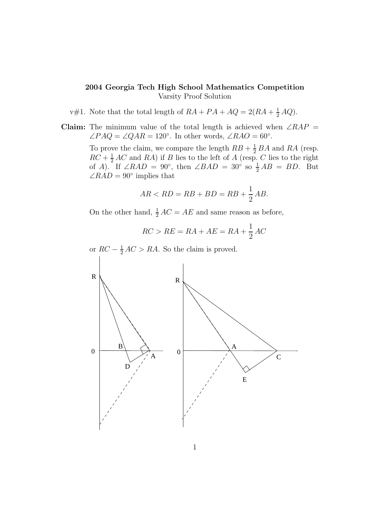- v#1. Note that the total length of  $RA + PA + AQ = 2(RA + \frac{1}{2}AQ)$ .
- Claim: The minimum value of the total length is achieved when  $\angle RAP =$  $\angle PAQ = \angle QAR = 120^\circ$ . In other words,  $\angle RAO = 60^\circ$ .

To prove the claim, we compare the length  $RB + \frac{1}{2}BA$  and RA (resp.  $RC + \frac{1}{2}AC$  and RA) if B lies to the left of A (resp. C lies to the right of A). If  $\angle RAD = 90^\circ$ , then  $\angle BAD = 30^\circ$  so  $\frac{1}{2}AB = BD$ . But  $\angle RAD = 90^{\circ}$  implies that

$$
AR < RD = RB + BD = RB + \frac{1}{2} AB.
$$

On the other hand,  $\frac{1}{2}AC = AE$  and same reason as before,

$$
RC > RE = RA + AE = RA + \frac{1}{2}AC
$$

or  $RC - \frac{1}{2}AC > RA$ . So the claim is proved.

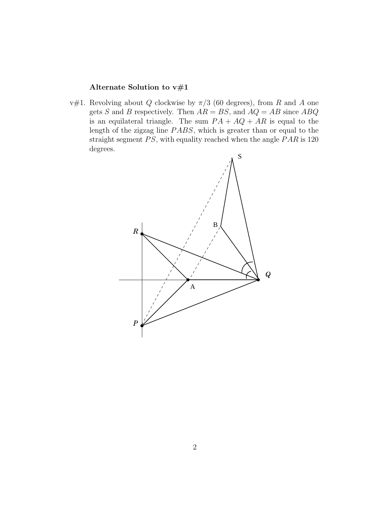# Alternate Solution to v#1

v#1. Revolving about  $Q$  clockwise by  $\pi/3$  (60 degrees), from  $R$  and  $A$  one gets S and B respectively. Then  $AR = BS$ , and  $AQ = AB$  since  $ABQ$ is an equilateral triangle. The sum  $PA + AQ + AR$  is equal to the length of the zigzag line PABS, which is greater than or equal to the straight segment PS, with equality reached when the angle PAR is 120 degrees.

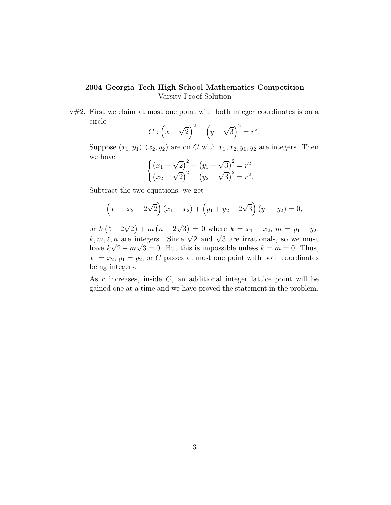$v#2$ . First we claim at most one point with both integer coordinates is on a circle

$$
C: (x - \sqrt{2})^2 + (y - \sqrt{3})^2 = r^2.
$$

Suppose  $(x_1, y_1), (x_2, y_2)$  are on C with  $x_1, x_2, y_1, y_2$  are integers. Then we have √

$$
\begin{cases} (x_1 - \sqrt{2})^2 + (y_1 - \sqrt{3})^2 = r^2 \\ (x_2 - \sqrt{2})^2 + (y_2 - \sqrt{3})^2 = r^2. \end{cases}
$$

Subtract the two equations, we get

$$
(x_1 + x_2 - 2\sqrt{2}) (x_1 - x_2) + (y_1 + y_2 - 2\sqrt{3}) (y_1 - y_2) = 0,
$$

or  $k(\ell - 2\sqrt{2}) + m(n - 2\sqrt{3}) = 0$  where  $k = x_1 - x_2$ ,  $m = y_1 - y_2$ ,  $k, m, \ell, n$  are integers. Since  $\sqrt{2}$  and  $\sqrt{3}$  are irrationals, so we must have  $k\sqrt{2} - m\sqrt{3} = 0$ . But this is impossible unless  $k = m = 0$ . Thus,  $x_1 = x_2, y_1 = y_2$ , or C passes at most one point with both coordinates being integers.

As  $r$  increases, inside  $C$ , an additional integer lattice point will be gained one at a time and we have proved the statement in the problem.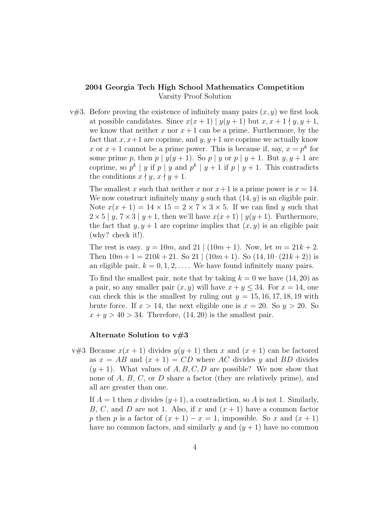$v#3$ . Before proving the existence of infinitely many pairs  $(x, y)$  we first look at possible candidates. Since  $x(x+1) | y(y+1)$  but  $x, x+1 \nmid y, y+1$ , we know that neither x nor  $x + 1$  can be a prime. Furthermore, by the fact that  $x, x+1$  are coprime, and  $y, y+1$  are coprime we actually know x or  $x + 1$  cannot be a prime power. This is because if, say,  $x = p^k$  for some prime p, then  $p | y(y + 1)$ . So  $p | y$  or  $p | y + 1$ . But  $y, y + 1$  are coprime, so  $p^k | y$  if  $p | y$  and  $p^k | y + 1$  if  $p | y + 1$ . This contradicts the conditions  $x \nmid y, x \nmid y + 1$ .

The smallest x such that neither x nor  $x+1$  is a prime power is  $x = 14$ . We now construct infinitely many y such that  $(14, y)$  is an eligible pair. Note  $x(x + 1) = 14 \times 15 = 2 \times 7 \times 3 \times 5$ . If we can find y such that  $2\times5$  | y,  $7\times3$  | y+1, then we'll have  $x(x+1)$  |  $y(y+1)$ . Furthermore, the fact that  $y, y + 1$  are coprime implies that  $(x, y)$  is an eligible pair (why? check it!).

The rest is easy.  $y = 10m$ , and  $21 | (10m + 1)$ . Now, let  $m = 21k + 2$ . Then  $10m + 1 = 210k + 21$ . So  $21 | (10m + 1)$ . So  $(14, 10 \cdot (21k + 2))$  is an eligible pair,  $k = 0, 1, 2, \ldots$ . We have found infinitely many pairs.

To find the smallest pair, note that by taking  $k = 0$  we have  $(14, 20)$  as a pair, so any smaller pair  $(x, y)$  will have  $x + y \leq 34$ . For  $x = 14$ , one can check this is the smallest by ruling out  $y = 15, 16, 17, 18, 19$  with brute force. If  $x > 14$ , the next eligible one is  $x = 20$ . So  $y > 20$ . So  $x + y > 40 > 34$ . Therefore, (14, 20) is the smallest pair.

#### Alternate Solution to  $v\#3$

v#3 Because  $x(x + 1)$  divides  $y(y + 1)$  then x and  $(x + 1)$  can be factored as  $x = AB$  and  $(x + 1) = CD$  where AC divides y and BD divides  $(y + 1)$ . What values of A, B, C, D are possible? We now show that none of A, B, C, or D share a factor (they are relatively prime), and all are greater than one.

If  $A = 1$  then x divides  $(y+1)$ , a contradiction, so A is not 1. Similarly, B, C, and D are not 1. Also, if x and  $(x + 1)$  have a common factor p then p is a factor of  $(x + 1) - x = 1$ , impossible. So x and  $(x + 1)$ have no common factors, and similarly y and  $(y+1)$  have no common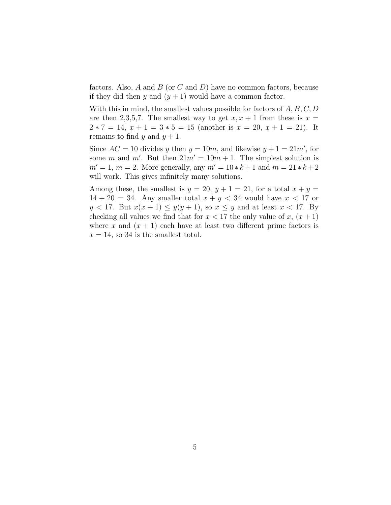factors. Also,  $A$  and  $B$  (or  $C$  and  $D$ ) have no common factors, because if they did then y and  $(y + 1)$  would have a common factor.

With this in mind, the smallest values possible for factors of  $A, B, C, D$ are then 2,3,5,7. The smallest way to get  $x, x + 1$  from these is  $x =$  $2 * 7 = 14$ ,  $x + 1 = 3 * 5 = 15$  (another is  $x = 20$ ,  $x + 1 = 21$ ). It remains to find y and  $y + 1$ .

Since  $AC = 10$  divides y then  $y = 10m$ , and likewise  $y + 1 = 21m'$ , for some m and m'. But then  $21m' = 10m + 1$ . The simplest solution is  $m' = 1, m = 2.$  More generally, any  $m' = 10 * k + 1$  and  $m = 21 * k + 2$ will work. This gives infinitely many solutions.

Among these, the smallest is  $y = 20$ ,  $y + 1 = 21$ , for a total  $x + y =$  $14 + 20 = 34$ . Any smaller total  $x + y < 34$  would have  $x < 17$  or  $y < 17$ . But  $x(x + 1) \leq y(y + 1)$ , so  $x \leq y$  and at least  $x < 17$ . By checking all values we find that for  $x < 17$  the only value of  $x, (x + 1)$ where x and  $(x + 1)$  each have at least two different prime factors is  $x = 14$ , so 34 is the smallest total.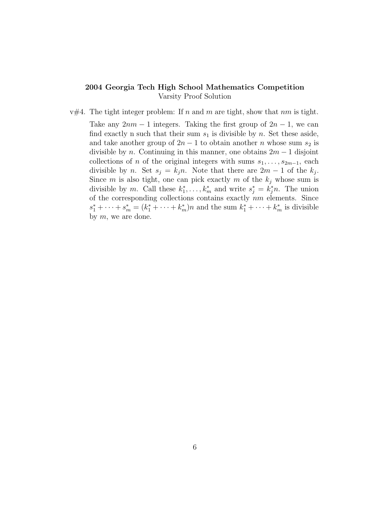$v#4$ . The tight integer problem: If n and m are tight, show that nm is tight. Take any  $2nm - 1$  integers. Taking the first group of  $2n - 1$ , we can find exactly n such that their sum  $s_1$  is divisible by n. Set these aside, and take another group of  $2n - 1$  to obtain another n whose sum  $s_2$  is divisible by n. Continuing in this manner, one obtains  $2m - 1$  disjoint collections of n of the original integers with sums  $s_1, \ldots, s_{2m-1}$ , each divisible by *n*. Set  $s_j = k_j n$ . Note that there are  $2m - 1$  of the  $k_j$ . Since m is also tight, one can pick exactly m of the  $k_j$  whose sum is divisible by m. Call these  $k_1^*, \ldots, k_m^*$  and write  $s_j^* = k_j^* n$ . The union of the corresponding collections contains exactly  $nm$  elements. Since  $s_1^* + \cdots + s_m^* = (k_1^* + \cdots + k_m^*)n$  and the sum  $k_1^* + \cdots + k_m^*$  is divisible by  $m$ , we are done.